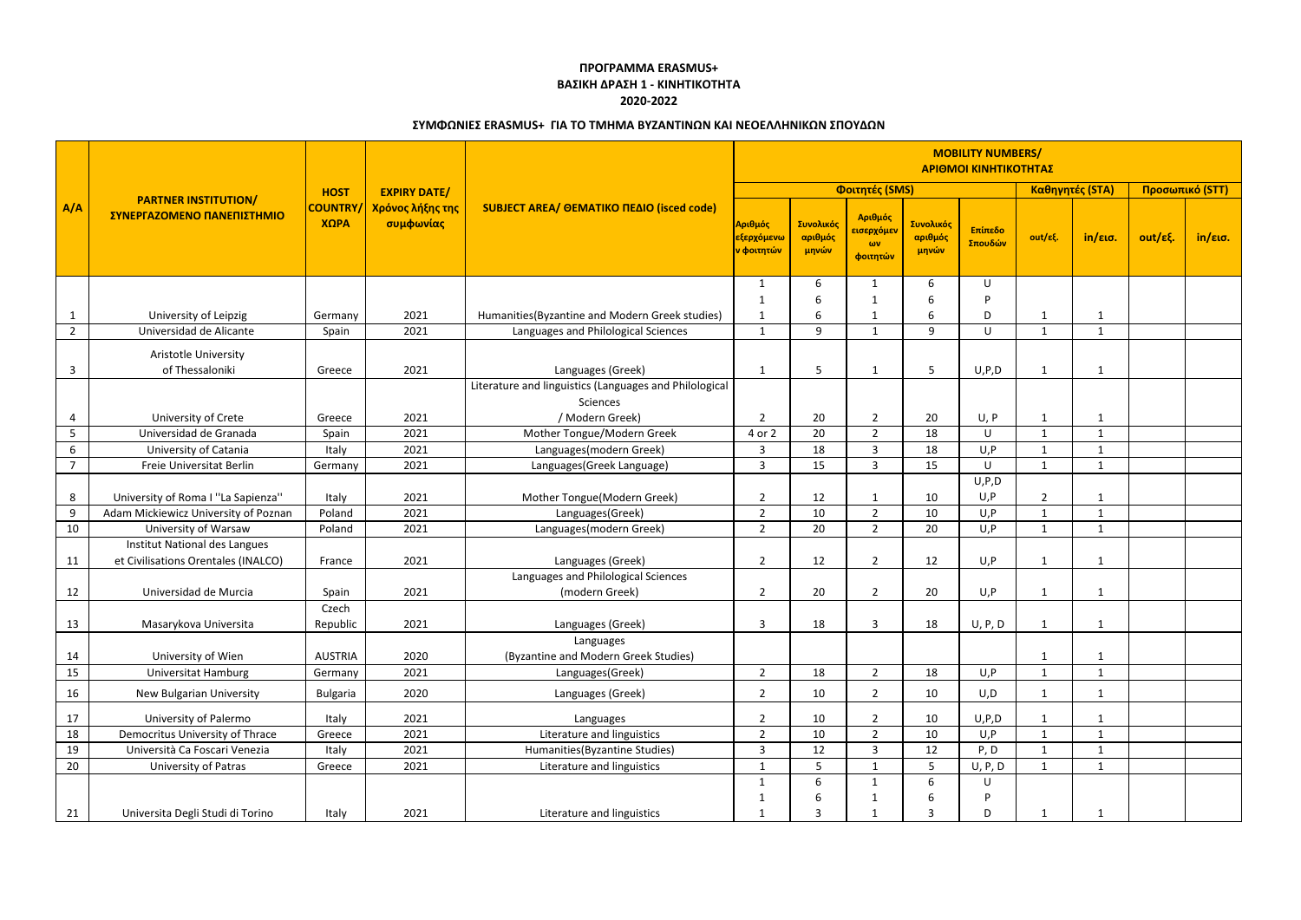|                | <b>PARTNER INSTITUTION/</b><br>ΣΥΝΕΡΓΑΖΟΜΕΝΟ ΠΑΝΕΠΙΣΤΗΜΙΟ            | <b>HOST</b><br><b>COUNTRY</b><br>ΧΩΡΑ | <b>EXPIRY DATE/</b><br>Χρόνος λήξης της<br>συμφωνίας | SUBJECT AREA/ ΘΕΜΑΤΙΚΟ ΠΕΔΙΟ (isced code)              | <b>MOBILITY NUMBERS/</b><br>ΑΡΙΘΜΟΙ ΚΙΝΗΤΙΚΟΤΗΤΑΣ |                               |                                                      |                               |                    |                |              |                 |         |
|----------------|----------------------------------------------------------------------|---------------------------------------|------------------------------------------------------|--------------------------------------------------------|---------------------------------------------------|-------------------------------|------------------------------------------------------|-------------------------------|--------------------|----------------|--------------|-----------------|---------|
| A/A            |                                                                      |                                       |                                                      |                                                        | Φοιτητές (SMS)                                    |                               |                                                      |                               | Καθηγητές (STA)    |                |              | Προσωπικό (STT) |         |
|                |                                                                      |                                       |                                                      |                                                        | Αριθμός<br><mark>εξερχόμενω</mark><br>ν φοιτητών  | Συνολικός<br>αριθμός<br>μηνών | Αριθμός<br><mark>εισερχόμεν</mark><br>ωv<br>φοιτητών | Συνολικός<br>αριθμός<br>μηνών | Επίπεδο<br>Σπουδών | out/εξ.        | in/εισ.      | out/εξ.         | in/εισ. |
|                |                                                                      |                                       |                                                      |                                                        | 1                                                 | 6                             | -1                                                   | 6                             | U                  |                |              |                 |         |
|                |                                                                      |                                       |                                                      |                                                        | 1                                                 | 6                             | -1                                                   | 6                             | <b>D</b>           |                |              |                 |         |
|                | University of Leipzig                                                | Germany                               | 2021                                                 | Humanities (Byzantine and Modern Greek studies)        | -1                                                | 6                             |                                                      | 6                             | D                  | -1             |              |                 |         |
| $\overline{2}$ | Universidad de Alicante                                              | Spain                                 | 2021                                                 | Languages and Philological Sciences                    | 1                                                 | 9                             | $\mathbf{1}$                                         | 9                             | $\cup$             | $\mathbf{1}$   | 1            |                 |         |
|                | Aristotle University                                                 |                                       |                                                      |                                                        |                                                   |                               |                                                      |                               |                    |                |              |                 |         |
| $\overline{3}$ | of Thessaloniki                                                      | Greece                                | 2021                                                 | Languages (Greek)                                      | 1                                                 | 5                             |                                                      | 5                             | U, P, D            | $\mathbf{1}$   |              |                 |         |
|                |                                                                      |                                       |                                                      | Literature and linguistics (Languages and Philological |                                                   |                               |                                                      |                               |                    |                |              |                 |         |
|                |                                                                      |                                       |                                                      | Sciences                                               |                                                   |                               |                                                      |                               |                    |                |              |                 |         |
| $\overline{4}$ | University of Crete                                                  | Greece                                | 2021                                                 | / Modern Greek)                                        | $\overline{2}$                                    | 20                            | $\overline{2}$                                       | 20                            | U, P               | 1              |              |                 |         |
| 5              | Universidad de Granada                                               | Spain                                 | 2021                                                 | Mother Tongue/Modern Greek                             | 4 or 2                                            | 20                            | $\overline{2}$                                       | 18                            | U                  | 1              |              |                 |         |
| $6\phantom{1}$ | University of Catania                                                | Italy                                 | 2021                                                 | Languages(modern Greek)                                | 3                                                 | 18                            | $\overline{3}$                                       | 18                            | U, P               | $\mathbf{1}$   | $\mathbf 1$  |                 |         |
| $\overline{7}$ | Freie Universitat Berlin                                             | Germany                               | 2021                                                 | Languages(Greek Language)                              | 3                                                 | 15                            | $\overline{3}$                                       | 15                            | U                  | 1              | $\mathbf 1$  |                 |         |
|                |                                                                      |                                       |                                                      |                                                        |                                                   |                               |                                                      |                               | U, P, D            |                |              |                 |         |
| 8              | University of Roma I "La Sapienza"                                   | Italy                                 | 2021                                                 | Mother Tongue(Modern Greek)                            | $\overline{2}$                                    | 12                            |                                                      | 10                            | U, P               | $\overline{2}$ |              |                 |         |
| 9              | Adam Mickiewicz University of Poznan                                 | Poland                                | 2021                                                 | Languages(Greek)                                       | 2                                                 | 10                            | $\overline{2}$                                       | 10                            | U, P               | $\mathbf{1}$   | $\mathbf{1}$ |                 |         |
| 10             | University of Warsaw                                                 | Poland                                | 2021                                                 | Languages(modern Greek)                                | $\overline{2}$                                    | 20                            | $\overline{2}$                                       | 20                            | U, P               | $\mathbf{1}$   | 1            |                 |         |
| 11             | Institut National des Langues<br>et Civilisations Orentales (INALCO) | France                                | 2021                                                 | Languages (Greek)                                      | $\overline{2}$                                    | 12                            | $\overline{2}$                                       | 12                            | U, P               | 1              |              |                 |         |
|                |                                                                      |                                       |                                                      | Languages and Philological Sciences                    |                                                   |                               |                                                      |                               |                    |                |              |                 |         |
| 12             | Universidad de Murcia                                                | Spain                                 | 2021                                                 | (modern Greek)                                         | $\overline{2}$                                    | 20                            | $\overline{2}$                                       | 20                            | U, P               | 1              | 1            |                 |         |
|                |                                                                      | Czech                                 |                                                      |                                                        |                                                   |                               |                                                      |                               |                    |                |              |                 |         |
| 13             | Masarykova Universita                                                | Republic                              | 2021                                                 | Languages (Greek)                                      | 3                                                 | 18                            | 3                                                    | 18                            | U, P, D            |                |              |                 |         |
|                |                                                                      |                                       |                                                      | Languages                                              |                                                   |                               |                                                      |                               |                    |                |              |                 |         |
| 14             | University of Wien                                                   | <b>AUSTRIA</b>                        | 2020                                                 | (Byzantine and Modern Greek Studies)                   |                                                   |                               |                                                      |                               |                    | 1              |              |                 |         |
| 15             | <b>Universitat Hamburg</b>                                           | Germany                               | 2021                                                 | Languages(Greek)                                       | $\overline{2}$                                    | 18                            | $\overline{2}$                                       | 18                            | U, P               | $\mathbf{1}$   | $\mathbf{1}$ |                 |         |
| 16             | <b>New Bulgarian University</b>                                      | <b>Bulgaria</b>                       | 2020                                                 | Languages (Greek)                                      | $\overline{2}$                                    | 10                            | $\overline{2}$                                       | 10                            | U, D               | $\mathbf{1}$   |              |                 |         |
| 17             | University of Palermo                                                | Italy                                 | 2021                                                 | Languages                                              | $\overline{2}$                                    | 10                            | $\overline{2}$                                       | 10                            | U, P, D            | $\mathbf{1}$   |              |                 |         |
| 18             | Democritus University of Thrace                                      | Greece                                | 2021                                                 | Literature and linguistics                             | $\overline{2}$                                    | 10                            | $\overline{2}$                                       | 10                            | U, P               | $\mathbf{1}$   | 1            |                 |         |
| 19             | Università Ca Foscari Venezia                                        | Italy                                 | 2021                                                 | Humanities(Byzantine Studies)                          | $\overline{3}$                                    | 12                            | $\overline{3}$                                       | 12                            | P, D               | $\mathbf{1}$   | $\mathbf{1}$ |                 |         |
| 20             | University of Patras                                                 | Greece                                | 2021                                                 | Literature and linguistics                             | $\mathbf 1$                                       | 5 <sub>1</sub>                |                                                      | $5\phantom{.0}$               | U, P, D            | $\mathbf{1}$   | $\mathbf{1}$ |                 |         |
|                |                                                                      |                                       |                                                      |                                                        | 1                                                 | 6                             | 1                                                    | 6                             | U                  |                |              |                 |         |
|                |                                                                      |                                       |                                                      |                                                        | $\mathbf 1$                                       | $6\,$                         | -1                                                   | 6                             | P                  |                |              |                 |         |
| 21             | Universita Degli Studi di Torino                                     | Italy                                 | 2021                                                 | Literature and linguistics                             | $\mathbf 1$                                       | $\overline{3}$                |                                                      | 3                             | D                  | -1             |              |                 |         |

## **ΠΡΟΓΡΑΜΜΑ ERASMUS+ ΒΑΣΙΚΗ ΔΡΑΣΗ 1 - ΚΙΝΗΤΙΚΟΤΗΤΑ 2020-2022**

## **ΣΥΜΦΩΝΙΕΣ ERASMUS+ ΓΙΑ ΤΟ ΤΜΗΜΑ ΒΥΖΑΝΤΙΝΩΝ ΚΑΙ ΝΕΟΕΛΛΗΝΙΚΩΝ ΣΠΟΥΔΩΝ**